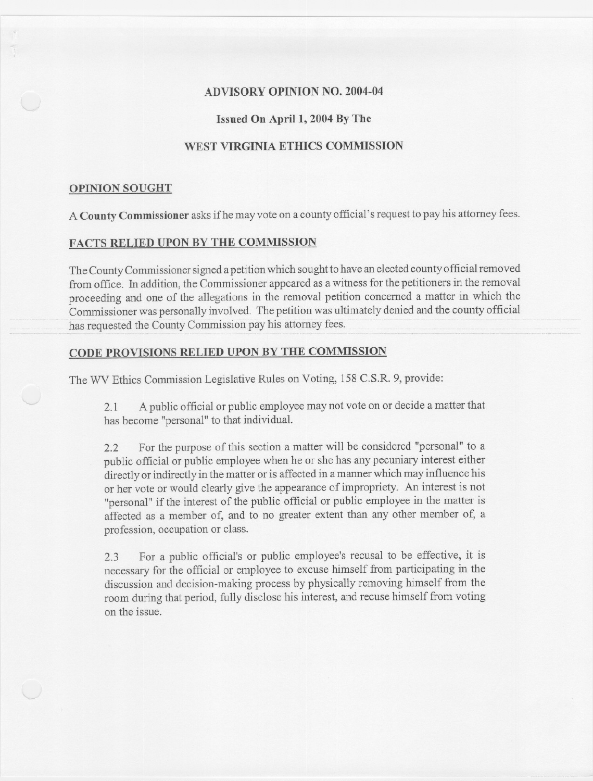### **ADVISORY OPINION NO. 2004-04**

### **Issued On** April 1, **2004 By The**

# **WEST VIRGINIA ETHICS COMMISSION**

#### **OPINION SOUGHT**

A **County Commissioner**asksifhe mayvote on a county official's request to pay his attorney fees.

### **FACTS RELIED UPON BY THE COMMISSION**

The County Commissioner signed a petition which sought to have an elected county official removed from office. In addition, the Commissioner appeared as a witness for the petitioners in the removal proceeding and one of the allegations in the removal petition concerned a matter in which the Commissioner was personallyinvolved. The petition was ultimately denied and the county official has requested the County Commission pay his attorney fees.

### **CODE PROVISIONS RELIED UPON BY THE COMMISSION**

The WV Ethics Commission Legislative Rules on Voting, 158 C.S.R. 9, provide:

2.1 A public official or public employeemay not vote on or decide a matter that has become "personal" to that individual.

2.2 For the purpose of this section a matter will be considered "personal" to a public official or public employee when he or she has any pecuniary interest either directly or indirectly in the matter or is affected in a manner which may influence his or her vote or would clearly give the appearance of impropriety. An interest is not "personal" if the interest of the public official or public employee in the matter is affected as a member of, and to no greater extent than any other member of, a profession, occupation or class.

2.3 For a public official's or public employee's recusal to be effective, it is necessary for the official or employee to excuse himself from participating in the discussion and decision-making process by physically removing himself from the room during that period, fully disclose his interest, and recuse himself from voting on the issue.